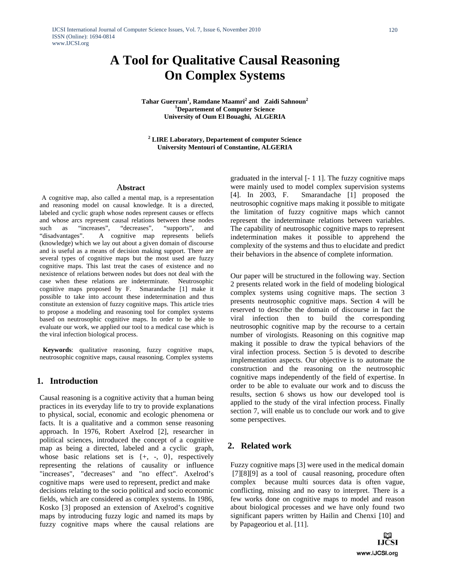# **A Tool for Qualitative Causal Reasoning On Complex Systems**

**Tahar Guerram<sup>1</sup>, Ramdane Maamri<sup>2</sup> and Zaidi Sahnoun<sup>2</sup><br>
<b>Computer Science Departement of Computer Science University of Oum El Bouaghi, ALGERIA** 

**2 LIRE Laboratory, Departement of computer Science University Mentouri of Constantine, ALGERIA** 

#### A**bstract**

A cognitive map, also called a mental map, is a representation and reasoning model on causal knowledge. It is a directed, labeled and cyclic graph whose nodes represent causes or effects and whose arcs represent causal relations between these nodes such as "increases", "decreases", "supports", and "disadvantages". A cognitive map represents beliefs (knowledge) which we lay out about a given domain of discourse and is useful as a means of decision making support. There are several types of cognitive maps but the most used are fuzzy cognitive maps. This last treat the cases of existence and no nexistence of relations between nodes but does not deal with the case when these relations are indeterminate. Neutrosophic cognitive maps proposed by F. Smarandache [1] make it possible to take into account these indetermination and thus constitute an extension of fuzzy cognitive maps. This article tries to propose a modeling and reasoning tool for complex systems based on neutrosophic cognitive maps. In order to be able to evaluate our work, we applied our tool to a medical case which is the viral infection biological process.

 **Keywords**: qualitative reasoning, fuzzy cognitive maps, neutrosophic cognitive maps, causal reasoning. Complex systems

### **1. Introduction**

Causal reasoning is a cognitive activity that a human being practices in its everyday life to try to provide explanations to physical, social, economic and ecologic phenomena or facts. It is a qualitative and a common sense reasoning approach. In 1976, Robert Axelrod [2], researcher in political sciences, introduced the concept of a cognitive map as being a directed, labeled and a cyclic graph, whose basic relations set is {+, -, 0}, respectively representing the relations of causality or influence "increases", "decreases" and "no effect". Axelrod's cognitive maps were used to represent, predict and make decisions relating to the socio political and socio economic fields, which are considered as complex systems. In 1986, Kosko [3] proposed an extension of Axelrod's cognitive maps by introducing fuzzy logic and named its maps by fuzzy cognitive maps where the causal relations are

graduated in the interval [- 1 1]. The fuzzy cognitive maps were mainly used to model complex supervision systems [4]. In 2003, F. Smarandache [1] proposed the neutrosophic cognitive maps making it possible to mitigate the limitation of fuzzy cognitive maps which cannot represent the indeterminate relations between variables. The capability of neutrosophic cognitive maps to represent indetermination makes it possible to apprehend the complexity of the systems and thus to elucidate and predict their behaviors in the absence of complete information.

Our paper will be structured in the following way. Section 2 presents related work in the field of modeling biological complex systems using cognitive maps. The section 3 presents neutrosophic cognitive maps. Section 4 will be reserved to describe the domain of discourse in fact the viral infection then to build the corresponding neutrosophic cognitive map by the recourse to a certain number of virologists. Reasoning on this cognitive map making it possible to draw the typical behaviors of the viral infection process. Section 5 is devoted to describe implementation aspects. Our objective is to automate the construction and the reasoning on the neutrosophic cognitive maps independently of the field of expertise. In order to be able to evaluate our work and to discuss the results, section 6 shows us how our developed tool is applied to the study of the viral infection process. Finally section 7, will enable us to conclude our work and to give some perspectives.

### **2. Related work**

Fuzzy cognitive maps [3] were used in the medical domain [7][8][9] as a tool of causal reasoning, procedure often complex because multi sources data is often vague, conflicting, missing and no easy to interpret. There is a few works done on cognitive maps to model and reason about biological processes and we have only found two significant papers written by Hailin and Chenxi [10] and by Papageoriou et al. [11].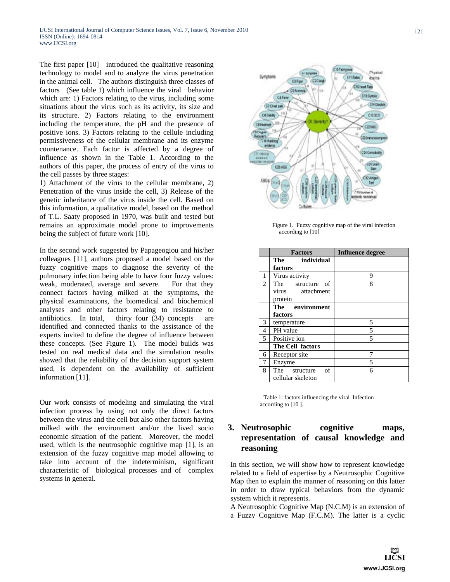The first paper [10] introduced the qualitative reasoning technology to model and to analyze the virus penetration in the animal cell. The authors distinguish three classes of factors (See table 1) which influence the viral behavior which are: 1) Factors relating to the virus, including some situations about the virus such as its activity, its size and its structure. 2) Factors relating to the environment including the temperature, the pH and the presence of positive ions. 3) Factors relating to the cellule including permissiveness of the cellular membrane and its enzyme countenance. Each factor is affected by a degree of influence as shown in the Table 1. According to the authors of this paper, the process of entry of the virus to the cell passes by three stages:

1) Attachment of the virus to the cellular membrane, 2) Penetration of the virus inside the cell, 3) Release of the genetic inheritance of the virus inside the cell. Based on this information, a qualitative model, based on the method of T.L. Saaty proposed in 1970, was built and tested but remains an approximate model prone to improvements being the subject of future work [10].

In the second work suggested by Papageogiou and his/her colleagues [11], authors proposed a model based on the fuzzy cognitive maps to diagnose the severity of the pulmonary infection being able to have four fuzzy values: weak, moderated, average and severe. For that they connect factors having milked at the symptoms, the physical examinations, the biomedical and biochemical analyses and other factors relating to resistance to antibiotics. In total, thirty four (34) concepts are identified and connected thanks to the assistance of the experts invited to define the degree of influence between these concepts. (See Figure 1). The model builds was tested on real medical data and the simulation results showed that the reliability of the decision support system used, is dependent on the availability of sufficient information [11].

Our work consists of modeling and simulating the viral infection process by using not only the direct factors between the virus and the cell but also other factors having milked with the environment and/or the lived socio economic situation of the patient. Moreover, the model used, which is the neutrosophic cognitive map [1], is an extension of the fuzzy cognitive map model allowing to take into account of the indeterminism, significant characteristic of biological processes and of complex systems in general.



 Figure 1. Fuzzy cognitive map of the viral infection according to [10]

|   | <b>Factors</b>      | <b>Influence degree</b> |
|---|---------------------|-------------------------|
|   | The individual      |                         |
|   | factors             |                         |
| 1 | Virus activity      | 9                       |
| 2 | The structure of    | 8                       |
|   | virus attachment    |                         |
|   | protein             |                         |
|   | The environment     |                         |
|   | factors             |                         |
| 3 | temperature         | 5                       |
| 4 | PH value            | 5                       |
| 5 | Positive ion        | 5                       |
|   | The Cell factors    |                         |
| 6 | Receptor site       | 7                       |
| 7 | Enzyme              | 5                       |
| 8 | of<br>The structure | 6                       |
|   | cellular skeleton   |                         |

Table 1: factors influencing the viral Infection according to [10 ].

# **3. Neutrosophic cognitive maps, representation of causal knowledge and reasoning**

In this section, we will show how to represent knowledge related to a field of expertise by a Neutrosophic Cognitive Map then to explain the manner of reasoning on this latter in order to draw typical behaviors from the dynamic system which it represents.

A Neutrosophic Cognitive Map (N.C.M) is an extension of a Fuzzy Cognitive Map (F.C.M). The latter is a cyclic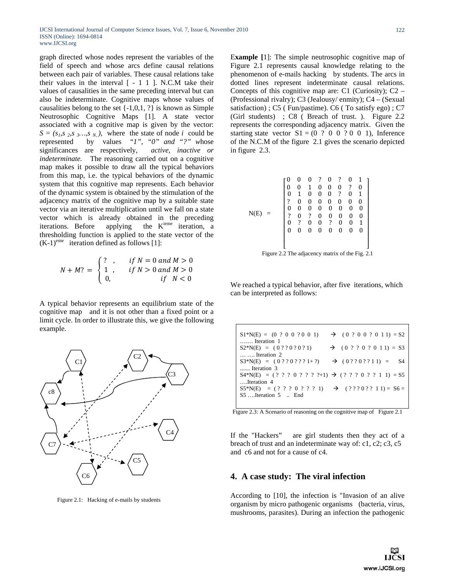graph directed whose nodes represent the variables of the field of speech and whose arcs define causal relations between each pair of variables. These causal relations take their values in the interval  $[-1\ 1\ ]$ . N.C.M take their values of causalities in the same preceding interval but can also be indeterminate. Cognitive maps whose values of causalities belong to the set  $\{-1,0,1,?\}$  is known as Simple Neutrosophic Cognitive Maps [1]. A state vector associated with a cognitive map is given by the vector:  $S = (s_1, s_2, s_3, \ldots, s_N)$ , where the state of node *i* could be represented by values "*1", "0" and "?" w*hose significances are respectively, *active, inactive or indeterminate.* The reasoning carried out on a cognitive map makes it possible to draw all the typical behaviors from this map, i.e. the typical behaviors of the dynamic system that this cognitive map represents. Each behavior of the dynamic system is obtained by the stimulation of the adjacency matrix of the cognitive map by a suitable state vector via an iterative multiplication until we fall on a state vector which is already obtained in the preceding iterations. Before applying the  $K<sup>ieme</sup>$  iteration, a thresholding function is applied to the state vector of the  $(K-1)^{eme}$  iteration defined as follows [1]:

$$
N + M? = \begin{cases} ? & , & if N = 0 \text{ and } M > 0 \\ 1 & , & if N > 0 \text{ and } M > 0 \\ 0, & if N < 0 \end{cases}
$$

A typical behavior represents an equilibrium state of the cognitive map and it is not other than a fixed point or a limit cycle. In order to illustrate this, we give the following example.



Figure 2.1: Hacking of e-mails by students

E**xample [**1]: The simple neutrosophic cognitive map of Figure 2.1 represents causal knowledge relating to the phenomenon of e-mails hacking by students. The arcs in dotted lines represent indeterminate causal relations. Concepts of this cognitive map are: C1 (Curiosity);  $C2 -$ (Professional rivalry); C3 (Jealousy/ enmity); C4 – (Sexual satisfaction) ; C5 ( Fun/pastime). C6 ( To satisfy ego) ; C7 (Girl students) ; C8 ( Breach of trust. ). Figure 2.2 represents the corresponding adjacency matrix. Given the starting state vector  $S1 = (0 ? 0 0 ? 0 0 1)$ , Inference of the N.C.M of the figure 2.1 gives the scenario depicted in figure 2.3.

| $\mathbf{1}$ |
|--------------|
| 0            |
| 1            |
|              |
| $\mathbf{0}$ |
| 0            |
| 1            |
| 0            |
|              |
|              |
| 0            |

Figure 2.2 The adjacency matrix of the Fig. 2.1

We reached a typical behavior, after five iterations, which can be interpreted as follows:

| $\rightarrow$ (0 ? 0 0 ? 0 1 1) = S2<br>$S1*N(E) = (0 ? 0 0 ? 0 0 1)$<br>$\ldots$ Iteration 1   |
|-------------------------------------------------------------------------------------------------|
| $S2*N(E) = (0 ? ? 0 ? 0 ? 1)$<br>$\rightarrow$ (0 ? ? 0 ? 0 1 1) = S3                           |
| $\ldots$ Iteration 2<br>$S3*N(E) = (0 ? ? 0 ? ? ? 1 + ?)$<br>$\rightarrow$ (0??0??11) = \$4     |
| Iteration 3                                                                                     |
| $S4*N(E) = ( ? ? ? 0 ? ? ? ? +1) \rightarrow ( ? ? ? 0 ? ? 1 1) = S5$<br>Iteration 4            |
| $S5*N(E) = ( ? ? ? 0 ? ? ? 1)$ $\rightarrow$ $( ? ? ? 0 ? ? 1 1) = S6 =$<br>S5 Iteration 5  End |
|                                                                                                 |

Figure 2.3: A Scenario of reasoning on the cognitive map of Figure 2.1

If the "Hackers" are girl students then they act of a breach of trust and an indeterminate way of: c1, c2; c3, c5 and c6 and not for a cause of c4.

# **4. A case study: The viral infection**

According to [10], the infection is "Invasion of an alive organism by micro pathogenic organisms (bacteria, virus, mushrooms, parasites). During an infection the pathogenic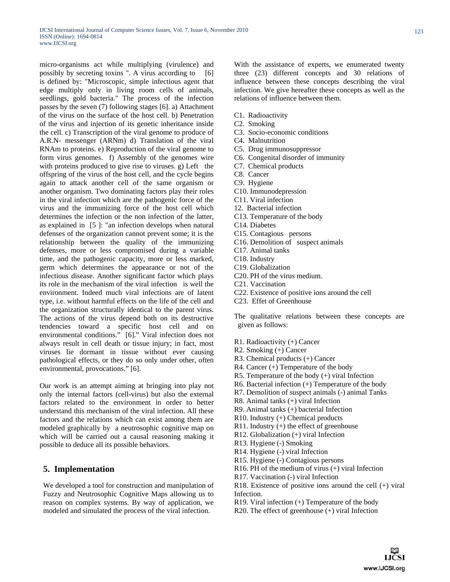micro-organisms act while multiplying (virulence) and possibly by secreting toxins ". A virus according to [6] is defined by: "Microscopic, simple infectious agent that edge multiply only in living room cells of animals, seedlings, gold bacteria." The process of the infection passes by the seven (7) following stages [6]. a) Attachment of the virus on the surface of the host cell. b) Penetration of the virus and injection of its genetic inheritance inside the cell. c) Transcription of the viral genome to produce of A.R.N- messenger (ARNm) d) Translation of the viral RNAm to proteins. e) Reproduction of the viral genome to form virus genomes. f) Assembly of the genomes wire with proteins produced to give rise to viruses. g) Left the offspring of the virus of the host cell, and the cycle begins again to attack another cell of the same organism or another organism. Two dominating factors play their roles in the viral infection which are the pathogenic force of the virus and the immunizing force of the host cell which determines the infection or the non infection of the latter, as explained in [5 ]: "an infection develops when natural defenses of the organization cannot prevent some; it is the relationship between the quality of the immunizing defenses, more or less compromised during a variable time, and the pathogenic capacity, more or less marked, germ which determines the appearance or not of the infectious disease. Another significant factor which plays its role in the mechanism of the viral infection is well the environment. Indeed much viral infections are of latent type, i.e. without harmful effects on the life of the cell and the organization structurally identical to the parent virus. The actions of the virus depend both on its destructive tendencies toward a specific host cell and on environmental conditions." [6]." Viral infection does not always result in cell death or tissue injury; in fact, most viruses lie dormant in tissue without ever causing pathological effects, or they do so only under other, often environmental, provocations." [6].

Our work is an attempt aiming at bringing into play not only the internal factors (cell-virus) but also the external factors related to the environment in order to better understand this mechanism of the viral infection. All these factors and the relations which can exist among them are modeled graphically by a neutrosophic cognitive map on which will be carried out a causal reasoning making it possible to deduce all its possible behaviors.

# **5. Implementation**

We developed a tool for construction and manipulation of Fuzzy and Neutrosophic Cognitive Maps allowing us to reason on complex systems. By way of application, we modeled and simulated the process of the viral infection.

With the assistance of experts, we enumerated twenty three (23) different concepts and 30 relations of influence between these concepts describing the viral infection. We give hereafter these concepts as well as the relations of influence between them.

- C1. Radioactivity
- C2. Smoking
- C3. Socio-economic conditions
- C4. Malnutrition
- C5. Drug immunosuppressor
- C6. Congenital disorder of immunity
- C7. Chemical products
- C8. Cancer
- C9. Hygiene
- C10. Immunodepression
- C11. Viral infection
- 12. Bacterial infection
- C13. Temperature of the body
- C14. Diabetes
- C15. Contagious persons
- C16. Demolition of suspect animals
- C17. Animal tanks
- C18. Industry
- C19. Globalization
- C20. PH of the virus medium.
- C21. Vaccination
- C22. Existence of positive ions around the cell
- C23. Effet of Greenhouse

The qualitative relations between these concepts are given as follows:

- R1. Radioactivity (+) Cancer
- R2. Smoking (+) Cancer
- R3. Chemical products (+) Cancer
- R4. Cancer (+) Temperature of the body
- R5. Temperature of the body (+) viral Infection
- R6. Bacterial infection (+) Temperature of the body
- R7. Demolition of suspect animals (-) animal Tanks
- R8. Animal tanks (+) viral Infection
- R9. Animal tanks (+) bacterial Infection
- R10. Industry (+) Chemical products
- R11. Industry (+) the effect of greenhouse
- R12. Globalization (+) viral Infection
- R13. Hygiene (-) Smoking
- R14. Hygiene (-) viral Infection
- R15. Hygiene (-) Contagious persons
- R16. PH of the medium of virus (+) viral Infection
- R17. Vaccination (-) viral Infection
- R18. Existence of positive ions around the cell (+) viral Infection.
- R19. Viral infection (+) Temperature of the body
- R20. The effect of greenhouse (+) viral Infection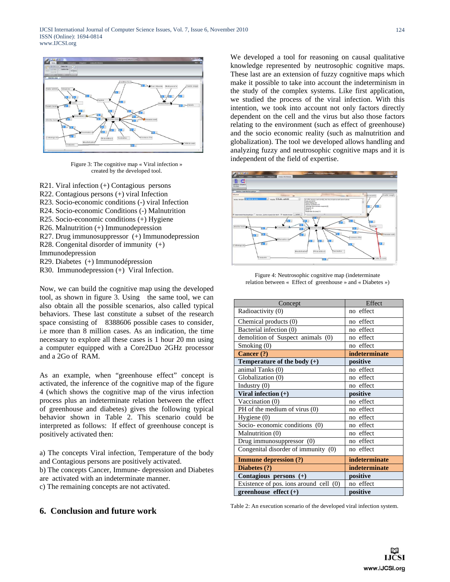

Figure 3: The cognitive map « Viral infection » created by the developed tool.

- R21. Viral infection (+) Contagious persons
- R22. Contagious persons (+) viral Infection
- R23. Socio-economic conditions (-) viral Infection
- R24. Socio-economic Conditions (-) Malnutrition
- R25. Socio-economic conditions (+) Hygiene
- R26. Malnutrition (+) Immunodepression
- R27. Drug immunosuppressor (+) Immunodepression
- R28. Congenital disorder of immunity (+)
- Immunodepression
- R29. Diabetes (+) Immunodépression
- R30. Immunodepression (+) Viral Infection.

Now, we can build the cognitive map using the developed tool, as shown in figure 3. Using the same tool, we can also obtain all the possible scenarios, also called typical behaviors. These last constitute a subset of the research space consisting of 8388606 possible cases to consider, i.e more than 8 million cases. As an indication, the time necessary to explore all these cases is 1 hour 20 mn using a computer equipped with a Core2Duo 2GHz processor and a 2Go of RAM.

As an example, when "greenhouse effect" concept is activated, the inference of the cognitive map of the figure 4 (which shows the cognitive map of the virus infection process plus an indeterminate relation between the effect of greenhouse and diabetes) gives the following typical behavior shown in Table 2. This scenario could be interpreted as follows: If effect of greenhouse concept is positively activated then:

a) The concepts Viral infection, Temperature of the body and Contagious persons are positively activated.

b) The concepts Cancer, Immune- depression and Diabetes are activated with an indeterminate manner.

c) The remaining concepts are not activated.

# **6. Conclusion and future work**

We developed a tool for reasoning on causal qualitative knowledge represented by neutrosophic cognitive maps. These last are an extension of fuzzy cognitive maps which make it possible to take into account the indeterminism in the study of the complex systems. Like first application, we studied the process of the viral infection. With this intention, we took into account not only factors directly dependent on the cell and the virus but also those factors relating to the environment (such as effect of greenhouse) and the socio economic reality (such as malnutrition and globalization). The tool we developed allows handling and analyzing fuzzy and neutrosophic cognitive maps and it is independent of the field of expertise.



Figure 4: Neutrosophic cognitive map (indeterminate relation between « Effect of greenhouse » and « Diabetes »)

| Concept                                | Effect        |
|----------------------------------------|---------------|
| Radioactivity (0)                      | no effect     |
| Chemical products (0)                  | no effect     |
| Bacterial infection (0)                | no effect     |
| demolition of Suspect animals (0)      | no effect     |
| Smoking (0)                            | no effect     |
| Cancer (?)                             | indeterminate |
| Temperature of the body $(+)$          | positive      |
| animal Tanks (0)                       | no effect     |
| Globalization (0)                      | no effect     |
| Industry (0)                           | no effect     |
| Viral infection $(+)$                  | positive      |
| Vaccination (0)                        | no effect     |
| PH of the medium of virus (0)          | no effect     |
| Hygiene (0)                            | no effect     |
| Socio-economic conditions $(0)$        | no effect     |
| Malnutrition (0)                       | no effect     |
| Drug immunosuppressor (0)              | no effect     |
| Congenital disorder of immunity (0)    | no effect     |
| <b>Immune depression (?)</b>           | indeterminate |
| Diabetes (?)                           | indeterminate |
| Contagious persons (+)                 | positive      |
| Existence of pos. ions around cell (0) | no effect     |
| greenhouse effect $(+)$                | positive      |

Table 2: An execution scenario of the developed viral infection system.